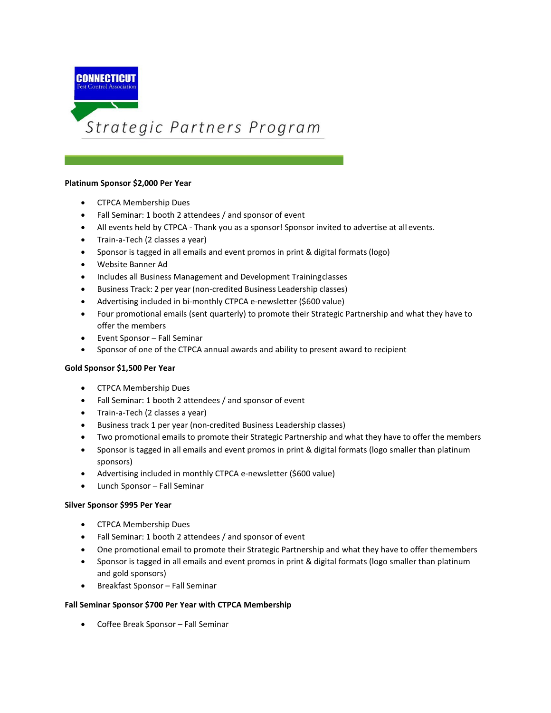

#### **Platinum Sponsor \$2,000 Per Year**

- CTPCA Membership Dues
- Fall Seminar: 1 booth 2 attendees / and sponsor of event
- All events held by CTPCA Thank you as a sponsor! Sponsor invited to advertise at all events.
- Train-a-Tech (2 classes a year)
- Sponsor is tagged in all emails and event promos in print & digital formats (logo)
- Website Banner Ad
- Includes all Business Management and Development Trainingclasses
- Business Track: 2 per year (non-credited Business Leadership classes)
- Advertising included in bi-monthly CTPCA e-newsletter (\$600 value)
- Four promotional emails (sent quarterly) to promote their Strategic Partnership and what they have to offer the members
- Event Sponsor Fall Seminar
- Sponsor of one of the CTPCA annual awards and ability to present award to recipient

### **Gold Sponsor \$1,500 Per Year**

- CTPCA Membership Dues
- Fall Seminar: 1 booth 2 attendees / and sponsor of event
- Train-a-Tech (2 classes a year)
- Business track 1 per year (non-credited Business Leadership classes)
- Two promotional emails to promote their Strategic Partnership and what they have to offer the members
- Sponsor is tagged in all emails and event promos in print & digital formats (logo smaller than platinum sponsors)
- Advertising included in monthly CTPCA e-newsletter (\$600 value)
- Lunch Sponsor Fall Seminar

### **Silver Sponsor \$995 Per Year**

- CTPCA Membership Dues
- Fall Seminar: 1 booth 2 attendees / and sponsor of event
- One promotional email to promote their Strategic Partnership and what they have to offer themembers
- Sponsor is tagged in all emails and event promos in print & digital formats (logo smaller than platinum and gold sponsors)
- Breakfast Sponsor Fall Seminar

### **Fall Seminar Sponsor \$700 Per Year with CTPCA Membership**

• Coffee Break Sponsor – Fall Seminar